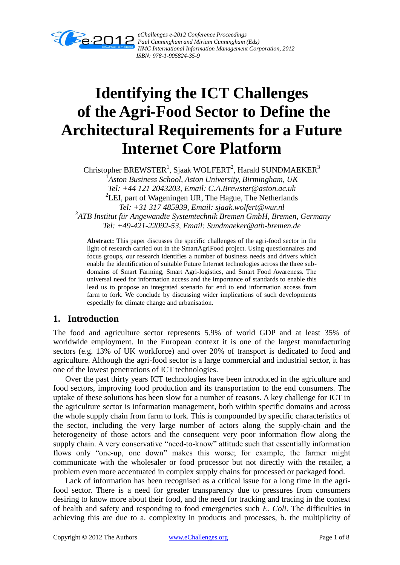

*eChallenges e-2012 Conference Proceedings Paul Cunningham and Miriam Cunningham (Eds) IIMC International Information Management Corporation, 2012 ISBN: 978-1-905824-35-9*

# **Identifying the ICT Challenges of the Agri-Food Sector to Define the Architectural Requirements for a Future Internet Core Platform**

Christopher BREWSTER<sup>1</sup>, Sjaak WOLFERT<sup>2</sup>, Harald SUNDMAEKER<sup>3</sup> 1 *Aston Business School, Aston University, Birmingham, UK Tel: +44 121 2043203, Email: C.A.Brewster@aston.ac.uk* <sup>2</sup>LEI, part of Wageningen UR, The Hague, The Netherlands *Tel: +31 317 485939, Email: sjaak.wolfert@wur.nl 3 ATB Institut für Angewandte Systemtechnik Bremen GmbH, Bremen, Germany Tel: +49-421-22092-53, Email: Sundmaeker@atb-bremen.de*

**Abstract:** This paper discusses the specific challenges of the agri-food sector in the light of research carried out in the SmartAgriFood project. Using questionnaires and focus groups, our research identifies a number of business needs and drivers which enable the identification of suitable Future Internet technologies across the three subdomains of Smart Farming, Smart Agri-logistics, and Smart Food Awareness. The universal need for information access and the importance of standards to enable this lead us to propose an integrated scenario for end to end information access from farm to fork. We conclude by discussing wider implications of such developments especially for climate change and urbanisation.

## **1. Introduction**

The food and agriculture sector represents 5.9% of world GDP and at least 35% of worldwide employment. In the European context it is one of the largest manufacturing sectors (e.g. 13% of UK workforce) and over 20% of transport is dedicated to food and agriculture. Although the agri-food sector is a large commercial and industrial sector, it has one of the lowest penetrations of ICT technologies.

Over the past thirty years ICT technologies have been introduced in the agriculture and food sectors, improving food production and its transportation to the end consumers. The uptake of these solutions has been slow for a number of reasons. A key challenge for ICT in the agriculture sector is information management, both within specific domains and across the whole supply chain from farm to fork. This is compounded by specific characteristics of the sector, including the very large number of actors along the supply-chain and the heterogeneity of those actors and the consequent very poor information flow along the supply chain. A very conservative "need-to-know" attitude such that essentially information flows only "one-up, one down" makes this worse; for example, the farmer might communicate with the wholesaler or food processor but not directly with the retailer, a problem even more accentuated in complex supply chains for processed or packaged food.

Lack of information has been recognised as a critical issue for a long time in the agrifood sector. There is a need for greater transparency due to pressures from consumers desiring to know more about their food, and the need for tracking and tracing in the context of health and safety and responding to food emergencies such *E. Coli*. The difficulties in achieving this are due to a. complexity in products and processes, b. the multiplicity of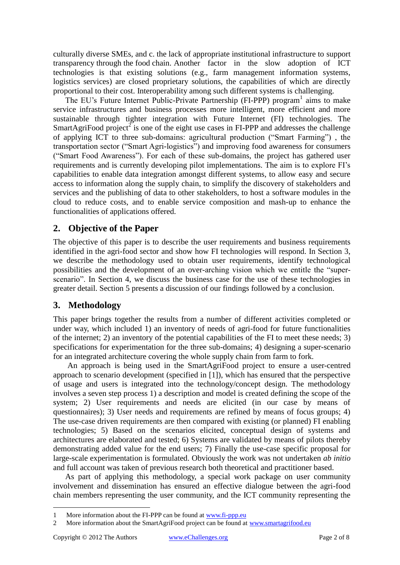culturally diverse SMEs, and c. the lack of appropriate institutional infrastructure to support transparency through the food chain. Another factor in the slow adoption of ICT technologies is that existing solutions (e.g., farm management information systems, logistics services) are closed proprietary solutions, the capabilities of which are directly proportional to their cost. Interoperability among such different systems is challenging.

The EU's Future Internet Public-Private Partnership (FI-PPP) program<sup>1</sup> aims to make service infrastructures and business processes more intelligent, more efficient and more sustainable through tighter integration with Future Internet (FI) technologies. The SmartAgriFood project<sup>2</sup> is one of the eight use cases in FI-PPP and addresses the challenge of applying ICT to three sub-domains: agricultural production ("Smart Farming") , the transportation sector ("Smart Agri-logistics") and improving food awareness for consumers ("Smart Food Awareness"). For each of these sub-domains, the project has gathered user requirements and is currently developing pilot implementations. The aim is to explore FI's capabilities to enable data integration amongst different systems, to allow easy and secure access to information along the supply chain, to simplify the discovery of stakeholders and services and the publishing of data to other stakeholders, to host a software modules in the cloud to reduce costs, and to enable service composition and mash-up to enhance the functionalities of applications offered.

# **2. Objective of the Paper**

The objective of this paper is to describe the user requirements and business requirements identified in the agri-food sector and show how FI technologies will respond. In Section 3, we describe the methodology used to obtain user requirements, identify technological possibilities and the development of an over-arching vision which we entitle the "superscenario". In Section 4, we discuss the business case for the use of these technologies in greater detail. Section 5 presents a discussion of our findings followed by a conclusion.

## **3. Methodology**

This paper brings together the results from a number of different activities completed or under way, which included 1) an inventory of needs of agri-food for future functionalities of the internet; 2) an inventory of the potential capabilities of the FI to meet these needs; 3) specifications for experimentation for the three sub-domains; 4) designing a super-scenario for an integrated architecture covering the whole supply chain from farm to fork.

An approach is being used in the SmartAgriFood project to ensure a user-centred approach to scenario development (specified in [1]), which has ensured that the perspective of usage and users is integrated into the technology/concept design. The methodology involves a seven step process 1) a description and model is created defining the scope of the system; 2) User requirements and needs are elicited (in our case by means of questionnaires); 3) User needs and requirements are refined by means of focus groups; 4) The use-case driven requirements are then compared with existing (or planned) FI enabling technologies; 5) Based on the scenarios elicited, conceptual design of systems and architectures are elaborated and tested; 6) Systems are validated by means of pilots thereby demonstrating added value for the end users; 7) Finally the use-case specific proposal for large-scale experimentation is formulated. Obviously the work was not undertaken *ab initio* and full account was taken of previous research both theoretical and practitioner based.

As part of applying this methodology, a special work package on user community involvement and dissemination has ensured an effective dialogue between the agri-food chain members representing the user community, and the ICT community representing the

 $\overline{a}$ 

<sup>1</sup> More information about the FI-PPP can be found at [www.fi-ppp.eu](http://www.fi-ppp.eu/)

<sup>2</sup> More information about the SmartAgriFood project can be found at [www.smartagrifood.eu](http://www.smartagrifood.eu/)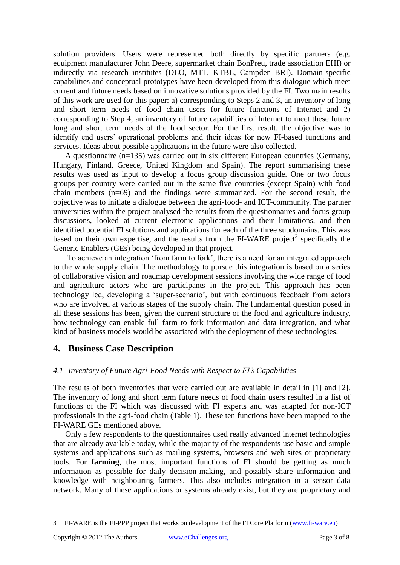solution providers. Users were represented both directly by specific partners (e.g. equipment manufacturer John Deere, supermarket chain BonPreu, trade association EHI) or indirectly via research institutes (DLO, MTT, KTBL, Campden BRI). Domain-specific capabilities and conceptual prototypes have been developed from this dialogue which meet current and future needs based on innovative solutions provided by the FI. Two main results of this work are used for this paper: a) corresponding to Steps 2 and 3, an inventory of long and short term needs of food chain users for future functions of Internet and 2) corresponding to Step 4, an inventory of future capabilities of Internet to meet these future long and short term needs of the food sector. For the first result, the objective was to identify end users' operational problems and their ideas for new FI-based functions and services. Ideas about possible applications in the future were also collected.

A questionnaire (n=135) was carried out in six different European countries (Germany, Hungary, Finland, Greece, United Kingdom and Spain). The report summarising these results was used as input to develop a focus group discussion guide. One or two focus groups per country were carried out in the same five countries (except Spain) with food chain members (n=69) and the findings were summarized. For the second result, the objective was to initiate a dialogue between the agri-food- and ICT-community. The partner universities within the project analysed the results from the questionnaires and focus group discussions, looked at current electronic applications and their limitations, and then identified potential FI solutions and applications for each of the three subdomains. This was based on their own expertise, and the results from the FI-WARE project<sup>3</sup> specifically the Generic Enablers (GEs) being developed in that project.

To achieve an integration 'from farm to fork', there is a need for an integrated approach to the whole supply chain. The methodology to pursue this integration is based on a series of collaborative vision and roadmap development sessions involving the wide range of food and agriculture actors who are participants in the project. This approach has been technology led, developing a 'super-scenario', but with continuous feedback from actors who are involved at various stages of the supply chain. The fundamental question posed in all these sessions has been, given the current structure of the food and agriculture industry, how technology can enable full farm to fork information and data integration, and what kind of business models would be associated with the deployment of these technologies.

## **4. Business Case Description**

## *4.1 Inventory of Future Agri-Food Needs with Respect to FI's Capabilities*

The results of both inventories that were carried out are available in detail in [1] and [2]. The inventory of long and short term future needs of food chain users resulted in a list of functions of the FI which was discussed with FI experts and was adapted for non-ICT professionals in the agri-food chain (Table 1). These ten functions have been mapped to the FI-WARE GEs mentioned above.

Only a few respondents to the questionnaires used really advanced internet technologies that are already available today, while the majority of the respondents use basic and simple systems and applications such as mailing systems, browsers and web sites or proprietary tools. For **farming**, the most important functions of FI should be getting as much information as possible for daily decision-making, and possibly share information and knowledge with neighbouring farmers. This also includes integration in a sensor data network. Many of these applications or systems already exist, but they are proprietary and

 $\overline{a}$ 

<sup>3</sup> FI-WARE is the FI-PPP project that works on development of the FI Core Platform [\(www.fi-ware.eu\)](http://www.fi-ware.eu/)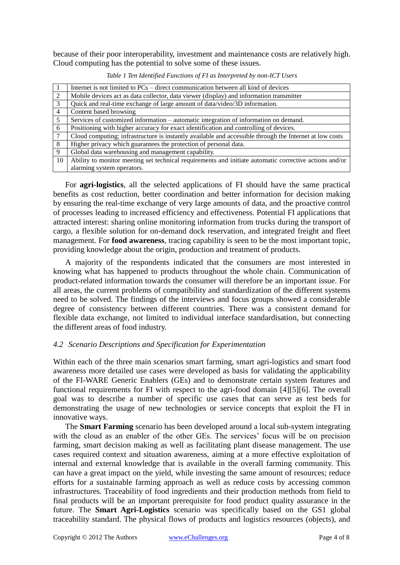because of their poor interoperability, investment and maintenance costs are relatively high. Cloud computing has the potential to solve some of these issues.

|                 | Internet is not limited to PCs – direct communication between all kind of devices                       |
|-----------------|---------------------------------------------------------------------------------------------------------|
| 2               | Mobile devices act as data collector, data viewer (display) and information transmitter                 |
| 3               | Quick and real-time exchange of large amount of data/video/3D information.                              |
| $\overline{4}$  | Content based browsing                                                                                  |
| 5               | Services of customized information – automatic integration of information on demand.                    |
| 6               | Positioning with higher accuracy for exact identification and controlling of devices.                   |
| $7\phantom{.0}$ | Cloud computing; infrastructure is instantly available and accessible through the Internet at low costs |
| 8               | Higher privacy which guarantees the protection of personal data.                                        |
| 9               | Global data warehousing and management capability.                                                      |
| 10              | Ability to monitor meeting set technical requirements and initiate automatic corrective actions and/or  |
|                 | alarming system operators.                                                                              |

*Table 1 Ten Identified Functions of FI as Interpreted by non-ICT Users*

For **agri-logistics**, all the selected applications of FI should have the same practical benefits as cost reduction, better coordination and better information for decision making by ensuring the real-time exchange of very large amounts of data, and the proactive control of processes leading to increased efficiency and effectiveness. Potential FI applications that attracted interest: sharing online monitoring information from trucks during the transport of cargo, a flexible solution for on-demand dock reservation, and integrated freight and fleet management. For **food awareness**, tracing capability is seen to be the most important topic, providing knowledge about the origin, production and treatment of products.

A majority of the respondents indicated that the consumers are most interested in knowing what has happened to products throughout the whole chain. Communication of product-related information towards the consumer will therefore be an important issue. For all areas, the current problems of compatibility and standardization of the different systems need to be solved. The findings of the interviews and focus groups showed a considerable degree of consistency between different countries. There was a consistent demand for flexible data exchange, not limited to individual interface standardisation, but connecting the different areas of food industry.

#### *4.2 Scenario Descriptions and Specification for Experimentation*

Within each of the three main scenarios smart farming, smart agri-logistics and smart food awareness more detailed use cases were developed as basis for validating the applicability of the FI-WARE Generic Enablers (GEs) and to demonstrate certain system features and functional requirements for FI with respect to the agri-food domain [4][5][6]. The overall goal was to describe a number of specific use cases that can serve as test beds for demonstrating the usage of new technologies or service concepts that exploit the FI in innovative ways.

The **Smart Farming** scenario has been developed around a local sub-system integrating with the cloud as an enabler of the other GEs. The services' focus will be on precision farming, smart decision making as well as facilitating plant disease management. The use cases required context and situation awareness, aiming at a more effective exploitation of internal and external knowledge that is available in the overall farming community. This can have a great impact on the yield, while investing the same amount of resources; reduce efforts for a sustainable farming approach as well as reduce costs by accessing common infrastructures. Traceability of food ingredients and their production methods from field to final products will be an important prerequisite for food product quality assurance in the future. The **Smart Agri-Logistics** scenario was specifically based on the GS1 global traceability standard. The physical flows of products and logistics resources (objects), and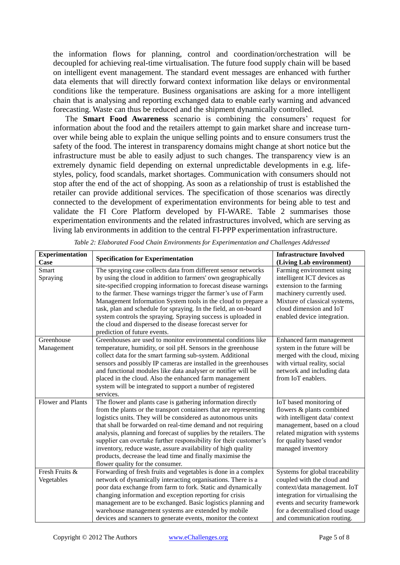the information flows for planning, control and coordination/orchestration will be decoupled for achieving real-time virtualisation. The future food supply chain will be based on intelligent event management. The standard event messages are enhanced with further data elements that will directly forward context information like delays or environmental conditions like the temperature. Business organisations are asking for a more intelligent chain that is analysing and reporting exchanged data to enable early warning and advanced forecasting. Waste can thus be reduced and the shipment dynamically controlled.

The **Smart Food Awareness** scenario is combining the consumers' request for information about the food and the retailers attempt to gain market share and increase turnover while being able to explain the unique selling points and to ensure consumers trust the safety of the food. The interest in transparency domains might change at short notice but the infrastructure must be able to easily adjust to such changes. The transparency view is an extremely dynamic field depending on external unpredictable developments in e.g. lifestyles, policy, food scandals, market shortages. Communication with consumers should not stop after the end of the act of shopping. As soon as a relationship of trust is established the retailer can provide additional services. The specification of those scenarios was directly connected to the development of experimentation environments for being able to test and validate the FI Core Platform developed by FI-WARE. [Table 2](#page-4-0) summarises those experimentation environments and the related infrastructures involved, which are serving as living lab environments in addition to the central FI-PPP experimentation infrastructure.

<span id="page-4-0"></span>

| <b>Experimentation</b>   | <b>Specification for Experimentation</b>                          | <b>Infrastructure Involved</b>   |
|--------------------------|-------------------------------------------------------------------|----------------------------------|
| Case                     |                                                                   | (Living Lab environment)         |
| Smart                    | The spraying case collects data from different sensor networks    | Farming environment using        |
| Spraying                 | by using the cloud in addition to farmers' own geographically     | intelligent ICT devices as       |
|                          | site-specified cropping information to forecast disease warnings  | extension to the farming         |
|                          | to the farmer. These warnings trigger the farmer's use of Farm    | machinery currently used.        |
|                          | Management Information System tools in the cloud to prepare a     | Mixture of classical systems,    |
|                          | task, plan and schedule for spraying. In the field, an on-board   | cloud dimension and IoT          |
|                          | system controls the spraying. Spraying success is uploaded in     | enabled device integration.      |
|                          | the cloud and dispersed to the disease forecast server for        |                                  |
|                          | prediction of future events.                                      |                                  |
| Greenhouse               | Greenhouses are used to monitor environmental conditions like     | Enhanced farm management         |
| Management               | temperature, humidity, or soil pH. Sensors in the greenhouse      | system in the future will be     |
|                          | collect data for the smart farming sub-system. Additional         | merged with the cloud, mixing    |
|                          | sensors and possibly IP cameras are installed in the greenhouses  | with virtual reality, social     |
|                          | and functional modules like data analyser or notifier will be     | network and including data       |
|                          | placed in the cloud. Also the enhanced farm management            | from IoT enablers.               |
|                          | system will be integrated to support a number of registered       |                                  |
|                          | services.                                                         |                                  |
| <b>Flower and Plants</b> | The flower and plants case is gathering information directly      | IoT based monitoring of          |
|                          | from the plants or the transport containers that are representing | flowers & plants combined        |
|                          | logistics units. They will be considered as autonomous units      | with intelligent data/context    |
|                          | that shall be forwarded on real-time demand and not requiring     | management, based on a cloud     |
|                          | analysis, planning and forecast of supplies by the retailers. The | related migration with systems   |
|                          | supplier can overtake further responsibility for their customer's | for quality based vendor         |
|                          | inventory, reduce waste, assure availability of high quality      | managed inventory                |
|                          | products, decrease the lead time and finally maximise the         |                                  |
|                          | flower quality for the consumer.                                  |                                  |
| Fresh Fruits &           | Forwarding of fresh fruits and vegetables is done in a complex    | Systems for global traceability  |
| Vegetables               | network of dynamically interacting organisations. There is a      | coupled with the cloud and       |
|                          | poor data exchange from farm to fork. Static and dynamically      | context/data management. IoT     |
|                          | changing information and exception reporting for crisis           | integration for virtualising the |
|                          | management are to be exchanged. Basic logistics planning and      | events and security framework    |
|                          | warehouse management systems are extended by mobile               | for a decentralised cloud usage  |
|                          | devices and scanners to generate events, monitor the context      | and communication routing.       |

*Table 2: Elaborated Food Chain Environments for Experimentation and Challenges Addressed*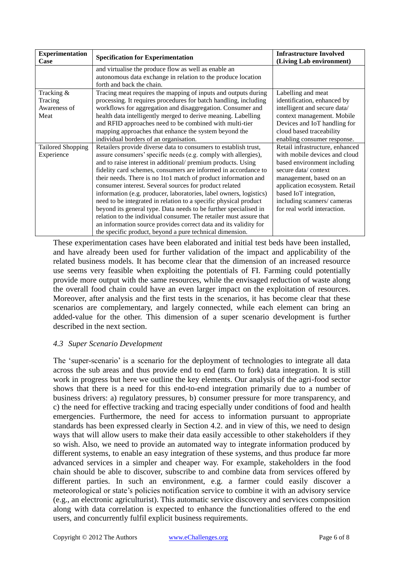| <b>Experimentation</b><br>Case                | <b>Specification for Experimentation</b>                                                                                                                                                                                                                                                                                                                                                                                                                                                                                                                                                                                                                                                                                                                                                                            | <b>Infrastructure Involved</b><br>(Living Lab environment)                                                                                                                                                                                                                |
|-----------------------------------------------|---------------------------------------------------------------------------------------------------------------------------------------------------------------------------------------------------------------------------------------------------------------------------------------------------------------------------------------------------------------------------------------------------------------------------------------------------------------------------------------------------------------------------------------------------------------------------------------------------------------------------------------------------------------------------------------------------------------------------------------------------------------------------------------------------------------------|---------------------------------------------------------------------------------------------------------------------------------------------------------------------------------------------------------------------------------------------------------------------------|
|                                               | and virtualise the produce flow as well as enable an<br>autonomous data exchange in relation to the produce location<br>forth and back the chain.                                                                                                                                                                                                                                                                                                                                                                                                                                                                                                                                                                                                                                                                   |                                                                                                                                                                                                                                                                           |
| Tracking &<br>Tracing<br>Awareness of<br>Meat | Tracing meat requires the mapping of inputs and outputs during<br>processing. It requires procedures for batch handling, including<br>workflows for aggregation and disaggregation. Consumer and<br>health data intelligently merged to derive meaning. Labelling<br>and RFID approaches need to be combined with multi-tier<br>mapping approaches that enhance the system beyond the<br>individual borders of an organisation.                                                                                                                                                                                                                                                                                                                                                                                     | Labelling and meat<br>identification, enhanced by<br>intelligent and secure data/<br>context management. Mobile<br>Devices and IoT handling for<br>cloud based traceability<br>enabling consumer response.                                                                |
| <b>Tailored Shopping</b><br>Experience        | Retailers provide diverse data to consumers to establish trust,<br>assure consumers' specific needs (e.g. comply with allergies),<br>and to raise interest in additional/ premium products. Using<br>fidelity card schemes, consumers are informed in accordance to<br>their needs. There is no 1to1 match of product information and<br>consumer interest. Several sources for product related<br>information (e.g. producer, laboratories, label owners, logistics)<br>need to be integrated in relation to a specific physical product<br>beyond its general type. Data needs to be further specialised in<br>relation to the individual consumer. The retailer must assure that<br>an information source provides correct data and its validity for<br>the specific product, beyond a pure technical dimension. | Retail infrastructure, enhanced<br>with mobile devices and cloud<br>based environment including<br>secure data/context<br>management, based on an<br>application ecosystem. Retail<br>based IoT integration,<br>including scanners/cameras<br>for real world interaction. |

These experimentation cases have been elaborated and initial test beds have been installed, and have already been used for further validation of the impact and applicability of the related business models. It has become clear that the dimension of an increased resource use seems very feasible when exploiting the potentials of FI. Farming could potentially provide more output with the same resources, while the envisaged reduction of waste along the overall food chain could have an even larger impact on the exploitation of resources. Moreover, after analysis and the first tests in the scenarios, it has become clear that these scenarios are complementary, and largely connected, while each element can bring an added-value for the other. This dimension of a super scenario development is further described in the next section.

## *4.3 Super Scenario Development*

The 'super-scenario' is a scenario for the deployment of technologies to integrate all data across the sub areas and thus provide end to end (farm to fork) data integration. It is still work in progress but here we outline the key elements. Our analysis of the agri-food sector shows that there is a need for this end-to-end integration primarily due to a number of business drivers: a) regulatory pressures, b) consumer pressure for more transparency, and c) the need for effective tracking and tracing especially under conditions of food and health emergencies. Furthermore, the need for access to information pursuant to appropriate standards has been expressed clearly in Section 4.2. and in view of this, we need to design ways that will allow users to make their data easily accessible to other stakeholders if they so wish. Also, we need to provide an automated way to integrate information produced by different systems, to enable an easy integration of these systems, and thus produce far more advanced services in a simpler and cheaper way. For example, stakeholders in the food chain should be able to discover, subscribe to and combine data from services offered by different parties. In such an environment, e.g. a farmer could easily discover a meteorological or state's policies notification service to combine it with an advisory service (e.g., an electronic agriculturist). This automatic service discovery and services composition along with data correlation is expected to enhance the functionalities offered to the end users, and concurrently fulfil explicit business requirements.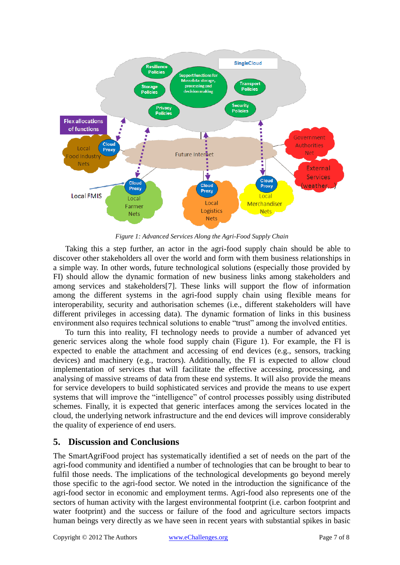

*Figure 1: Advanced Services Along the Agri-Food Supply Chain*

Taking this a step further, an actor in the agri-food supply chain should be able to discover other stakeholders all over the world and form with them business relationships in a simple way. In other words, future technological solutions (especially those provided by FI) should allow the dynamic formation of new business links among stakeholders and among services and stakeholders[7]. These links will support the flow of information among the different systems in the agri-food supply chain using flexible means for interoperability, security and authorisation schemes (i.e., different stakeholders will have different privileges in accessing data). The dynamic formation of links in this business environment also requires technical solutions to enable "trust" among the involved entities.

To turn this into reality, FI technology needs to provide a number of advanced yet generic services along the whole food supply chain (Figure 1). For example, the FI is expected to enable the attachment and accessing of end devices (e.g., sensors, tracking devices) and machinery (e.g., tractors). Additionally, the FI is expected to allow cloud implementation of services that will facilitate the effective accessing, processing, and analysing of massive streams of data from these end systems. It will also provide the means for service developers to build sophisticated services and provide the means to use expert systems that will improve the "intelligence" of control processes possibly using distributed schemes. Finally, it is expected that generic interfaces among the services located in the cloud, the underlying network infrastructure and the end devices will improve considerably the quality of experience of end users.

# **5. Discussion and Conclusions**

The SmartAgriFood project has systematically identified a set of needs on the part of the agri-food community and identified a number of technologies that can be brought to bear to fulfil those needs. The implications of the technological developments go beyond merely those specific to the agri-food sector. We noted in the introduction the significance of the agri-food sector in economic and employment terms. Agri-food also represents one of the sectors of human activity with the largest environmental footprint (i.e. carbon footprint and water footprint) and the success or failure of the food and agriculture sectors impacts human beings very directly as we have seen in recent years with substantial spikes in basic